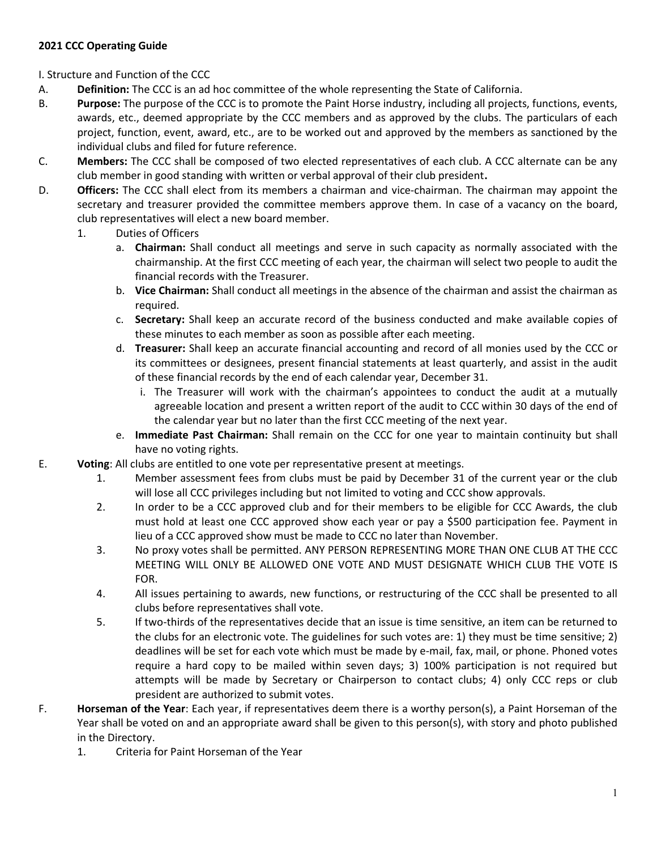## 2021 CCC Operating Guide

I. Structure and Function of the CCC

- A. Definition: The CCC is an ad hoc committee of the whole representing the State of California.
- B. Purpose: The purpose of the CCC is to promote the Paint Horse industry, including all projects, functions, events, awards, etc., deemed appropriate by the CCC members and as approved by the clubs. The particulars of each project, function, event, award, etc., are to be worked out and approved by the members as sanctioned by the individual clubs and filed for future reference.
- C. Members: The CCC shall be composed of two elected representatives of each club. A CCC alternate can be any club member in good standing with written or verbal approval of their club president.
- D. Officers: The CCC shall elect from its members a chairman and vice-chairman. The chairman may appoint the secretary and treasurer provided the committee members approve them. In case of a vacancy on the board, club representatives will elect a new board member.
	- 1. Duties of Officers
		- a. **Chairman:** Shall conduct all meetings and serve in such capacity as normally associated with the chairmanship. At the first CCC meeting of each year, the chairman will select two people to audit the financial records with the Treasurer.
		- b. Vice Chairman: Shall conduct all meetings in the absence of the chairman and assist the chairman as required.
		- c. Secretary: Shall keep an accurate record of the business conducted and make available copies of these minutes to each member as soon as possible after each meeting.
		- d. Treasurer: Shall keep an accurate financial accounting and record of all monies used by the CCC or its committees or designees, present financial statements at least quarterly, and assist in the audit of these financial records by the end of each calendar year, December 31.
			- i. The Treasurer will work with the chairman's appointees to conduct the audit at a mutually agreeable location and present a written report of the audit to CCC within 30 days of the end of the calendar year but no later than the first CCC meeting of the next year.
		- e. Immediate Past Chairman: Shall remain on the CCC for one year to maintain continuity but shall have no voting rights.
- E. Voting: All clubs are entitled to one vote per representative present at meetings.
	- 1. Member assessment fees from clubs must be paid by December 31 of the current year or the club will lose all CCC privileges including but not limited to voting and CCC show approvals.
	- 2. In order to be a CCC approved club and for their members to be eligible for CCC Awards, the club must hold at least one CCC approved show each year or pay a \$500 participation fee. Payment in lieu of a CCC approved show must be made to CCC no later than November.
	- 3. No proxy votes shall be permitted. ANY PERSON REPRESENTING MORE THAN ONE CLUB AT THE CCC MEETING WILL ONLY BE ALLOWED ONE VOTE AND MUST DESIGNATE WHICH CLUB THE VOTE IS FOR.
	- 4. All issues pertaining to awards, new functions, or restructuring of the CCC shall be presented to all clubs before representatives shall vote.
	- 5. If two-thirds of the representatives decide that an issue is time sensitive, an item can be returned to the clubs for an electronic vote. The guidelines for such votes are: 1) they must be time sensitive; 2) deadlines will be set for each vote which must be made by e-mail, fax, mail, or phone. Phoned votes require a hard copy to be mailed within seven days; 3) 100% participation is not required but attempts will be made by Secretary or Chairperson to contact clubs; 4) only CCC reps or club president are authorized to submit votes.
- F. Horseman of the Year: Each year, if representatives deem there is a worthy person(s), a Paint Horseman of the Year shall be voted on and an appropriate award shall be given to this person(s), with story and photo published in the Directory.
	- 1. Criteria for Paint Horseman of the Year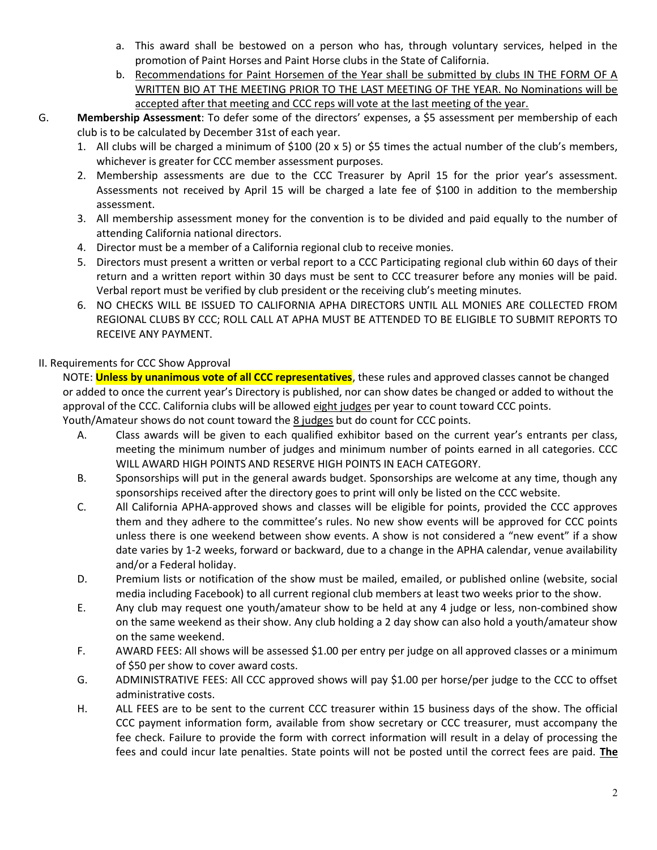- a. This award shall be bestowed on a person who has, through voluntary services, helped in the promotion of Paint Horses and Paint Horse clubs in the State of California.
- b. Recommendations for Paint Horsemen of the Year shall be submitted by clubs IN THE FORM OF A WRITTEN BIO AT THE MEETING PRIOR TO THE LAST MEETING OF THE YEAR. No Nominations will be accepted after that meeting and CCC reps will vote at the last meeting of the year.
- G. Membership Assessment: To defer some of the directors' expenses, a \$5 assessment per membership of each club is to be calculated by December 31st of each year.
	- 1. All clubs will be charged a minimum of \$100 (20 x 5) or \$5 times the actual number of the club's members, whichever is greater for CCC member assessment purposes.
	- 2. Membership assessments are due to the CCC Treasurer by April 15 for the prior year's assessment. Assessments not received by April 15 will be charged a late fee of \$100 in addition to the membership assessment.
	- 3. All membership assessment money for the convention is to be divided and paid equally to the number of attending California national directors.
	- 4. Director must be a member of a California regional club to receive monies.
	- 5. Directors must present a written or verbal report to a CCC Participating regional club within 60 days of their return and a written report within 30 days must be sent to CCC treasurer before any monies will be paid. Verbal report must be verified by club president or the receiving club's meeting minutes.
	- 6. NO CHECKS WILL BE ISSUED TO CALIFORNIA APHA DIRECTORS UNTIL ALL MONIES ARE COLLECTED FROM REGIONAL CLUBS BY CCC; ROLL CALL AT APHA MUST BE ATTENDED TO BE ELIGIBLE TO SUBMIT REPORTS TO RECEIVE ANY PAYMENT.

# II. Requirements for CCC Show Approval

NOTE: **Unless by unanimous vote of all CCC representatives**, these rules and approved classes cannot be changed or added to once the current year's Directory is published, nor can show dates be changed or added to without the approval of the CCC. California clubs will be allowed eight judges per year to count toward CCC points. Youth/Amateur shows do not count toward the 8 judges but do count for CCC points.

- A. Class awards will be given to each qualified exhibitor based on the current year's entrants per class, meeting the minimum number of judges and minimum number of points earned in all categories. CCC WILL AWARD HIGH POINTS AND RESERVE HIGH POINTS IN EACH CATEGORY.
- B. Sponsorships will put in the general awards budget. Sponsorships are welcome at any time, though any sponsorships received after the directory goes to print will only be listed on the CCC website.
- C. All California APHA-approved shows and classes will be eligible for points, provided the CCC approves them and they adhere to the committee's rules. No new show events will be approved for CCC points unless there is one weekend between show events. A show is not considered a "new event" if a show date varies by 1-2 weeks, forward or backward, due to a change in the APHA calendar, venue availability and/or a Federal holiday.
- D. Premium lists or notification of the show must be mailed, emailed, or published online (website, social media including Facebook) to all current regional club members at least two weeks prior to the show.
- E. Any club may request one youth/amateur show to be held at any 4 judge or less, non-combined show on the same weekend as their show. Any club holding a 2 day show can also hold a youth/amateur show on the same weekend.
- F. AWARD FEES: All shows will be assessed \$1.00 per entry per judge on all approved classes or a minimum of \$50 per show to cover award costs.
- G. ADMINISTRATIVE FEES: All CCC approved shows will pay \$1.00 per horse/per judge to the CCC to offset administrative costs.
- H. ALL FEES are to be sent to the current CCC treasurer within 15 business days of the show. The official CCC payment information form, available from show secretary or CCC treasurer, must accompany the fee check. Failure to provide the form with correct information will result in a delay of processing the fees and could incur late penalties. State points will not be posted until the correct fees are paid. The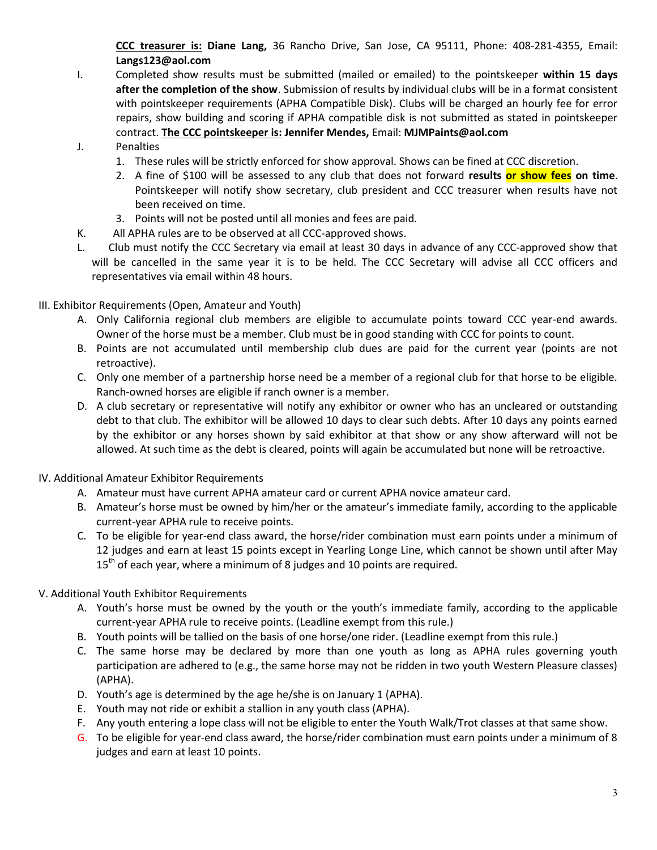CCC treasurer is: Diane Lang, 36 Rancho Drive, San Jose, CA 95111, Phone: 408-281-4355, Email: Langs123@aol.com

- I. Completed show results must be submitted (mailed or emailed) to the pointskeeper within 15 days after the completion of the show. Submission of results by individual clubs will be in a format consistent with pointskeeper requirements (APHA Compatible Disk). Clubs will be charged an hourly fee for error repairs, show building and scoring if APHA compatible disk is not submitted as stated in pointskeeper contract. The CCC pointskeeper is: Jennifer Mendes, Email: MJMPaints@aol.com
- J. Penalties
	- 1. These rules will be strictly enforced for show approval. Shows can be fined at CCC discretion.
	- 2. A fine of \$100 will be assessed to any club that does not forward results or show fees on time. Pointskeeper will notify show secretary, club president and CCC treasurer when results have not been received on time.
	- 3. Points will not be posted until all monies and fees are paid.
- K. All APHA rules are to be observed at all CCC-approved shows.
- L. Club must notify the CCC Secretary via email at least 30 days in advance of any CCC-approved show that will be cancelled in the same year it is to be held. The CCC Secretary will advise all CCC officers and representatives via email within 48 hours.

III. Exhibitor Requirements (Open, Amateur and Youth)

- A. Only California regional club members are eligible to accumulate points toward CCC year-end awards. Owner of the horse must be a member. Club must be in good standing with CCC for points to count.
- B. Points are not accumulated until membership club dues are paid for the current year (points are not retroactive).
- C. Only one member of a partnership horse need be a member of a regional club for that horse to be eligible. Ranch-owned horses are eligible if ranch owner is a member.
- D. A club secretary or representative will notify any exhibitor or owner who has an uncleared or outstanding debt to that club. The exhibitor will be allowed 10 days to clear such debts. After 10 days any points earned by the exhibitor or any horses shown by said exhibitor at that show or any show afterward will not be allowed. At such time as the debt is cleared, points will again be accumulated but none will be retroactive.

## IV. Additional Amateur Exhibitor Requirements

- A. Amateur must have current APHA amateur card or current APHA novice amateur card.
- B. Amateur's horse must be owned by him/her or the amateur's immediate family, according to the applicable current-year APHA rule to receive points.
- C. To be eligible for year-end class award, the horse/rider combination must earn points under a minimum of 12 judges and earn at least 15 points except in Yearling Longe Line, which cannot be shown until after May  $15<sup>th</sup>$  of each year, where a minimum of 8 judges and 10 points are required.

## V. Additional Youth Exhibitor Requirements

- A. Youth's horse must be owned by the youth or the youth's immediate family, according to the applicable current-year APHA rule to receive points. (Leadline exempt from this rule.)
- B. Youth points will be tallied on the basis of one horse/one rider. (Leadline exempt from this rule.)
- C. The same horse may be declared by more than one youth as long as APHA rules governing youth participation are adhered to (e.g., the same horse may not be ridden in two youth Western Pleasure classes) (APHA).
- D. Youth's age is determined by the age he/she is on January 1 (APHA).
- E. Youth may not ride or exhibit a stallion in any youth class (APHA).
- F. Any youth entering a lope class will not be eligible to enter the Youth Walk/Trot classes at that same show.
- G. To be eligible for year-end class award, the horse/rider combination must earn points under a minimum of 8 judges and earn at least 10 points.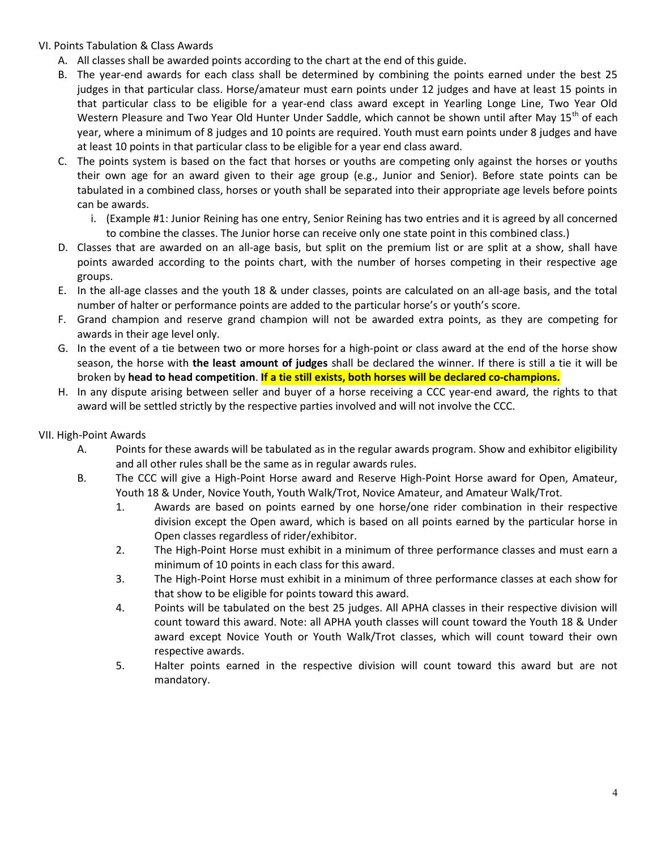## VI. Points Tabulation & Class Awards

- A. All classes shall be awarded points according to the chart at the end of this guide.
- B. The year-end awards for each class shall be determined by combining the points earned under the best 25 judges in that particular class. Horse/amateur must earn points under 12 judges and have at least 15 points in that particular class to be eligible for a year-end class award except in Yearling Longe Line, Two Year Old Western Pleasure and Two Year Old Hunter Under Saddle, which cannot be shown until after May 15<sup>th</sup> of each year, where a minimum of 8 judges and 10 points are required. Youth must earn points under 8 judges and have at least 10 points in that particular class to be eligible for a year end class award.
- C. The points system is based on the fact that horses or youths are competing only against the horses or youths their own age for an award given to their age group (e.g., Junior and Senior). Before state points can be tabulated in a combined class, horses or youth shall be separated into their appropriate age levels before points can be awards.
	- i. (Example #1: Junior Reining has one entry, Senior Reining has two entries and it is agreed by all concerned to combine the classes. The Junior horse can receive only one state point in this combined class.)
- D. Classes that are awarded on an all-age basis, but split on the premium list or are split at a show, shall have points awarded according to the points chart, with the number of horses competing in their respective age groups.
- E. In the all-age classes and the youth 18 & under classes, points are calculated on an all-age basis, and the total number of halter or performance points are added to the particular horse's or youth's score.
- F. Grand champion and reserve grand champion will not be awarded extra points, as they are competing for awards in their age level only.
- G. In the event of a tie between two or more horses for a high-point or class award at the end of the horse show season, the horse with the least amount of judges shall be declared the winner. If there is still a tie it will be broken by head to head competition. If a tie still exists, both horses will be declared co-champions.
- H. In any dispute arising between seller and buyer of a horse receiving a CCC year-end award, the rights to that award will be settled strictly by the respective parties involved and will not involve the CCC.
- VII. High-Point Awards
	- A. Points for these awards will be tabulated as in the regular awards program. Show and exhibitor eligibility and all other rules shall be the same as in regular awards rules.
	- B. The CCC will give a High-Point Horse award and Reserve High-Point Horse award for Open, Amateur, Youth 18 & Under, Novice Youth, Youth Walk/Trot, Novice Amateur, and Amateur Walk/Trot.
		- 1. Awards are based on points earned by one horse/one rider combination in their respective division except the Open award, which is based on all points earned by the particular horse in Open classes regardless of rider/exhibitor.
		- 2. The High-Point Horse must exhibit in a minimum of three performance classes and must earn a minimum of 10 points in each class for this award.
		- 3. The High-Point Horse must exhibit in a minimum of three performance classes at each show for that show to be eligible for points toward this award.
		- 4. Points will be tabulated on the best 25 judges. All APHA classes in their respective division will count toward this award. Note: all APHA youth classes will count toward the Youth 18 & Under award except Novice Youth or Youth Walk/Trot classes, which will count toward their own respective awards.
		- 5. Halter points earned in the respective division will count toward this award but are not mandatory.